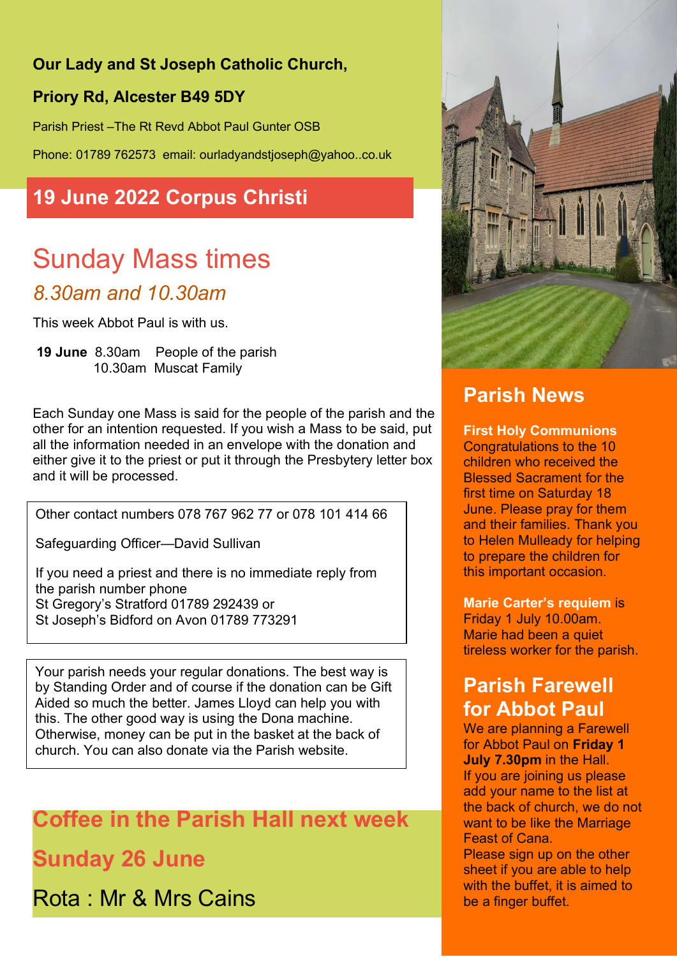#### Our Lady and St Joseph Catholic Church,

#### Priory Rd, Alcester B49 5DY

Parish Priest –The Rt Revd Abbot Paul Gunter OSB

Phone: 01789 762573 email: ourladyandstjoseph@yahoo..co.uk

# 19 June 2022 Corpus Christi

# Sunday Mass times 8.30am and 10.30am

This week Abbot Paul is with us.

 19 June 8.30am People of the parish 10.30am Muscat Family

Each Sunday one Mass is said for the people of the parish and the other for an intention requested. If you wish a Mass to be said, put all the information needed in an envelope with the donation and either give it to the priest or put it through the Presbytery letter box and it will be processed.

Other contact numbers 078 767 962 77 or 078 101 414 66

Safeguarding Officer—David Sullivan

If you need a priest and there is no immediate reply from the parish number phone St Gregory's Stratford 01789 292439 or St Joseph's Bidford on Avon 01789 773291

Your parish needs your regular donations. The best way is by Standing Order and of course if the donation can be Gift Aided so much the better. James Lloyd can help you with this. The other good way is using the Dona machine. Otherwise, money can be put in the basket at the back of church. You can also donate via the Parish website.

Coffee in the Parish Hall next week

Sunday 26 June

Rota : Mr & Mrs Cains



# Parish News

First Holy Communions Congratulations to the 10 children who received the Blessed Sacrament for the first time on Saturday 18 June. Please pray for them and their families. Thank you to Helen Mulleady for helping to prepare the children for this important occasion.

Marie Carter's requiem is Friday 1 July 10.00am. Marie had been a quiet tireless worker for the parish.

## Parish Farewell for Abbot Paul

We are planning a Farewell for Abbot Paul on Friday 1 July 7.30pm in the Hall. If you are joining us please add your name to the list at the back of church, we do not want to be like the Marriage Feast of Cana.

Please sign up on the other sheet if you are able to help with the buffet, it is aimed to be a finger buffet.